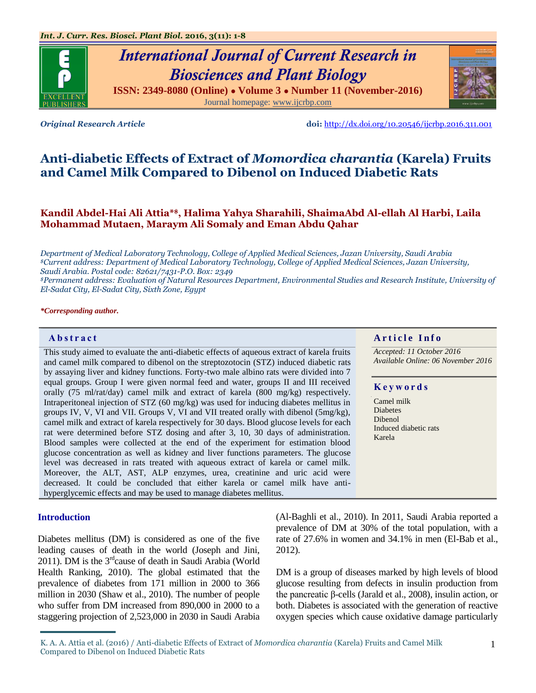# *International Journal of Current Research in Biosciences and Plant Biology*

**ISSN: 2349-8080 (Online) ● Volume 3 ● Number 11 (November-2016)** Journal homepage: [www.ijcrbp.com](http://www.ijcrbp.com/)



*Original Research Article* **doi:** <http://dx.doi.org/10.20546/ijcrbp.2016.311.001>

## **Anti-diabetic Effects of Extract of** *Momordica charantia* **(Karela) Fruits and Camel Milk Compared to Dibenol on Induced Diabetic Rats**

## **Kandil Abdel-Hai Ali Attia\*\$, Halima Yahya Sharahili, ShaimaAbd Al-ellah Al Harbi, Laila Mohammad Mutaen, Maraym Ali Somaly and Eman Abdu Qahar**

*Department of Medical Laboratory Technology, College of Applied Medical Sciences, Jazan University, Saudi Arabia \$Current address: Department of Medical Laboratory Technology, College of Applied Medical Sciences, Jazan University, Saudi Arabia. Postal code: 82621/7431-P.O. Box: 2349*

*\$Permanent address: Evaluation of Natural Resources Department, Environmental Studies and Research Institute, University of El-Sadat City, El-Sadat City, Sixth Zone, Egypt*

*\*Corresponding author.*

#### **Abstract And a region of the Info**  $\alpha$  **Article Info**

This study aimed to evaluate the anti-diabetic effects of aqueous extract of karela fruits and camel milk compared to dibenol on the streptozotocin (STZ) induced diabetic rats by assaying liver and kidney functions. Forty-two male albino rats were divided into 7 equal groups. Group I were given normal feed and water, groups II and III received orally (75 ml/rat/day) camel milk and extract of karela (800 mg/kg) respectively. Intraperitoneal injection of STZ (60 mg/kg) was used for inducing diabetes mellitus in groups IV, V, VI and VII. Groups V, VI and VII treated orally with dibenol (5mg/kg), camel milk and extract of karela respectively for 30 days. Blood glucose levels for each rat were determined before STZ dosing and after 3, 10, 30 days of administration. Blood samples were collected at the end of the experiment for estimation blood glucose concentration as well as kidney and liver functions parameters. The glucose level was decreased in rats treated with aqueous extract of karela or camel milk. Moreover, the ALT, AST, ALP enzymes, urea, creatinine and uric acid were decreased. It could be concluded that either karela or camel milk have antihyperglycemic effects and may be used to manage diabetes mellitus.

## **Introduction**

Diabetes mellitus (DM) is considered as one of the five leading causes of death in the world (Joseph and Jini, 2011). DM is the  $3<sup>rd</sup>$ cause of death in Saudi Arabia (World Health Ranking, 2010). The global estimated that the prevalence of diabetes from 171 million in 2000 to 366 million in 2030 (Shaw et al., 2010). The number of people who suffer from DM increased from 890,000 in 2000 to a staggering projection of 2,523,000 in 2030 in Saudi Arabia

*Accepted: 11 October 2016*

*Available Online: 06 November 2016*

#### **K e y w o r d s**

Camel milk **Diabetes** Dibenol Induced diabetic rats Karela

(Al-Baghli et al., 2010). In 2011, Saudi Arabia reported a prevalence of DM at 30% of the total population, with a rate of 27.6% in women and 34.1% in men (El-Bab et al., 2012).

DM is a group of diseases marked by high levels of blood glucose resulting from defects in insulin production from the pancreatic β-cells (Jarald et al., 2008), insulin action, or both. Diabetes is associated with the generation of reactive oxygen species which cause oxidative damage particularly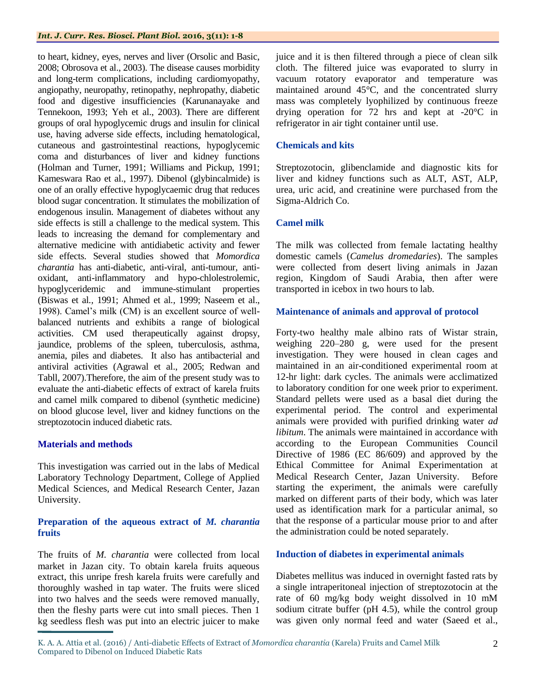#### *Int. J. Curr. Res. Biosci. Plant Biol.* **2016, 3(11): 1-8**

to heart, kidney, eyes, nerves and liver (Orsolic and Basic, 2008; Obrosova et al., 2003). The disease causes morbidity and long-term complications, including cardiomyopathy, angiopathy, neuropathy, retinopathy, nephropathy, diabetic food and digestive insufficiencies (Karunanayake and Tennekoon, 1993; Yeh et al., 2003). There are different groups of oral hypoglycemic drugs and insulin for clinical use, having adverse side effects, including hematological, cutaneous and gastrointestinal reactions, hypoglycemic coma and disturbances of liver and kidney functions (Holman and Turner, 1991; Williams and Pickup, 1991; Kameswara Rao et al., 1997). Dibenol (glybincalmide) is one of an orally effective hypoglycaemic drug that reduces blood sugar concentration. It stimulates the mobilization of endogenous insulin. Management of diabetes without any side effects is still a challenge to the medical system. This leads to increasing the demand for complementary and alternative medicine with antidiabetic activity and fewer side effects. Several studies showed that *Momordica charantia* has anti-diabetic, anti-viral, anti-tumour, antioxidant, anti-inflammatory and hypo-chlolestrolemic, hypoglyceridemic and immune-stimulant properties (Biswas et al*.,* 1991; Ahmed et al*.,* 1999; Naseem et al., 1998). Camel's milk (CM) is an excellent source of wellbalanced nutrients and exhibits a range of biological activities. CM used therapeutically against dropsy, jaundice, problems of the spleen, tuberculosis, asthma, anemia, piles and diabetes. It also has antibacterial and antiviral activities (Agrawal et al., 2005; Redwan and Tabll, 2007).Therefore, the aim of the present study was to evaluate the anti-diabetic effects of extract of karela fruits and camel milk compared to dibenol (synthetic medicine) on blood glucose level, liver and kidney functions on the streptozotocin induced diabetic rats.

## **Materials and methods**

This investigation was carried out in the labs of Medical Laboratory Technology Department, College of Applied Medical Sciences, and Medical Research Center, Jazan University.

## **Preparation of the aqueous extract of** *M. charantia* **fruits**

The fruits of *M. charantia* were collected from local market in Jazan city. To obtain karela fruits aqueous extract, this unripe fresh karela fruits were carefully and thoroughly washed in tap water. The fruits were sliced into two halves and the seeds were removed manually, then the fleshy parts were cut into small pieces. Then 1 kg seedless flesh was put into an electric juicer to make juice and it is then filtered through a piece of clean silk cloth. The filtered juice was evaporated to slurry in vacuum rotatory evaporator and temperature was maintained around 45°C, and the concentrated slurry mass was completely lyophilized by continuous freeze drying operation for 72 hrs and kept at -20°C in refrigerator in air tight container until use.

## **Chemicals and kits**

Streptozotocin, glibenclamide and diagnostic kits for liver and kidney functions such as ALT, AST, ALP, urea, uric acid, and creatinine were purchased from the Sigma-Aldrich Co.

## **Camel milk**

The milk was collected from female lactating healthy domestic camels (*Camelus dromedaries*). The samples were collected from desert living animals in Jazan region, Kingdom of Saudi Arabia, then after were transported in icebox in two hours to lab.

## **Maintenance of animals and approval of protocol**

Forty-two healthy male albino rats of Wistar strain, weighing 220–280 g, were used for the present investigation. They were housed in clean cages and maintained in an air-conditioned experimental room at 12-hr light: dark cycles. The animals were acclimatized to laboratory condition for one week prior to experiment. Standard pellets were used as a basal diet during the experimental period. The control and experimental animals were provided with purified drinking water *ad libitum*. The animals were maintained in accordance with according to the European Communities Council Directive of 1986 (EC 86/609) and approved by the Ethical Committee for Animal Experimentation at Medical Research Center, Jazan University. Before starting the experiment, the animals were carefully marked on different parts of their body, which was later used as identification mark for a particular animal, so that the response of a particular mouse prior to and after the administration could be noted separately.

## **Induction of diabetes in experimental animals**

Diabetes mellitus was induced in overnight fasted rats by a single intraperitoneal injection of streptozotocin at the rate of 60 mg/kg body weight dissolved in 10 mM sodium citrate buffer (pH 4.5), while the control group was given only normal feed and water (Saeed et al.,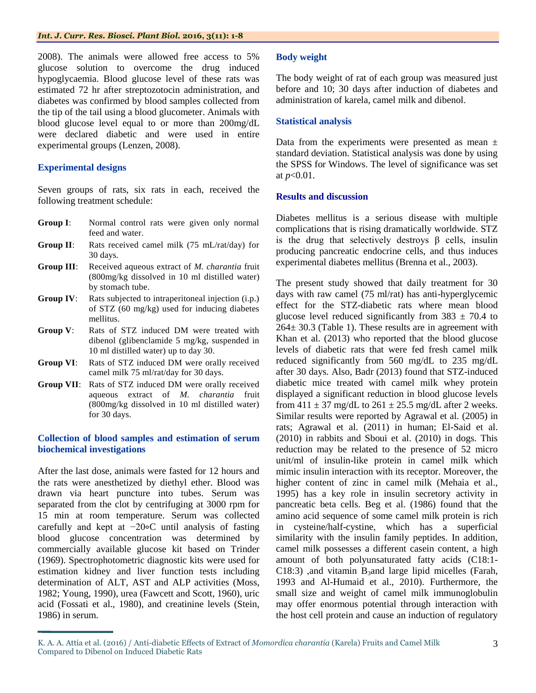#### *Int. J. Curr. Res. Biosci. Plant Biol.* **2016, 3(11): 1-8**

2008). The animals were allowed free access to 5% glucose solution to overcome the drug induced hypoglycaemia. Blood glucose level of these rats was estimated 72 hr after streptozotocin administration, and diabetes was confirmed by blood samples collected from the tip of the tail using a blood glucometer. Animals with blood glucose level equal to or more than 200mg/dL were declared diabetic and were used in entire experimental groups (Lenzen, 2008).

## **Experimental designs**

Seven groups of rats, six rats in each, received the following treatment schedule:

- **Group I**: Normal control rats were given only normal feed and water.
- **Group II**: Rats received camel milk (75 mL/rat/day) for 30 days.
- **Group III**: Received aqueous extract of *M. charantia* fruit (800mg/kg dissolved in 10 ml distilled water) by stomach tube.
- **Group IV:** Rats subjected to intraperitoneal injection (i.p.) of STZ (60 mg/kg) used for inducing diabetes mellitus.
- **Group V**: Rats of STZ induced DM were treated with dibenol (glibenclamide 5 mg/kg, suspended in 10 ml distilled water) up to day 30.
- **Group VI**: Rats of STZ induced DM were orally received camel milk 75 ml/rat/day for 30 days.
- **Group VII**: Rats of STZ induced DM were orally received aqueous extract of *M. charantia* fruit (800mg/kg dissolved in 10 ml distilled water) for 30 days.

## **Collection of blood samples and estimation of serum biochemical investigations**

After the last dose, animals were fasted for 12 hours and the rats were anesthetized by diethyl ether. Blood was drawn via heart puncture into tubes. Serum was separated from the clot by centrifuging at 3000 rpm for 15 min at room temperature. Serum was collected carefully and kept at −20∘C until analysis of fasting blood glucose concentration was determined by commercially available glucose kit based on Trinder (1969). Spectrophotometric diagnostic kits were used for estimation kidney and liver function tests including determination of ALT, AST and ALP activities (Moss, 1982; Young, 1990), urea (Fawcett and Scott, 1960), uric acid (Fossati et al., 1980), and creatinine levels (Stein, 1986) in serum.

## **Body weight**

The body weight of rat of each group was measured just before and 10; 30 days after induction of diabetes and administration of karela, camel milk and dibenol.

#### **Statistical analysis**

Data from the experiments were presented as mean  $\pm$ standard deviation. Statistical analysis was done by using the SPSS for Windows. The level of significance was set at  $p < 0.01$ .

#### **Results and discussion**

Diabetes mellitus is a serious disease with multiple complications that is rising dramatically worldwide. STZ is the drug that selectively destroys  $\beta$  cells, insulin producing pancreatic endocrine cells, and thus induces experimental diabetes mellitus (Brenna et al., 2003).

The present study showed that daily treatment for 30 days with raw camel (75 ml/rat) has anti-hyperglycemic effect for the STZ-diabetic rats where mean blood glucose level reduced significantly from  $383 \pm 70.4$  to 264± 30.3 (Table 1). These results are in agreement with Khan et al. (2013) who reported that the blood glucose levels of diabetic rats that were fed fresh camel milk reduced significantly from 560 mg/dL to 235 mg/dL after 30 days. Also, Badr (2013) found that STZ-induced diabetic mice treated with camel milk whey protein displayed a significant reduction in blood glucose levels from  $411 \pm 37$  mg/dL to  $261 \pm 25.5$  mg/dL after 2 weeks. Similar results were reported by Agrawal et al*.* (2005) in rats; Agrawal et al*.* (2011) in human; El-Said et al. (2010) in rabbits and Sboui et al. (2010) in dogs. This reduction may be related to the presence of 52 micro unit/ml of insulin-like protein in camel milk which mimic insulin interaction with its receptor. Moreover, the higher content of zinc in camel milk (Mehaia et al., 1995) has a key role in insulin secretory activity in pancreatic beta cells. Beg et al. (1986) found that the amino acid sequence of some camel milk protein is rich in cysteine/half-cystine, which has a superficial similarity with the insulin family peptides. In addition, camel milk possesses a different casein content, a high amount of both polyunsaturated fatty acids (C18:1- C18:3) ,and vitamin  $B_3$  and large lipid micelles (Farah, 1993 and Al-Humaid et al., 2010). Furthermore, the small size and weight of camel milk immunoglobulin may offer enormous potential through interaction with the host cell protein and cause an induction of regulatory

K. A. A. Attia et al. (2016) / Anti-diabetic Effects of Extract of *Momordica charantia* (Karela) Fruits and Camel Milk Compared to Dibenol on Induced Diabetic Rats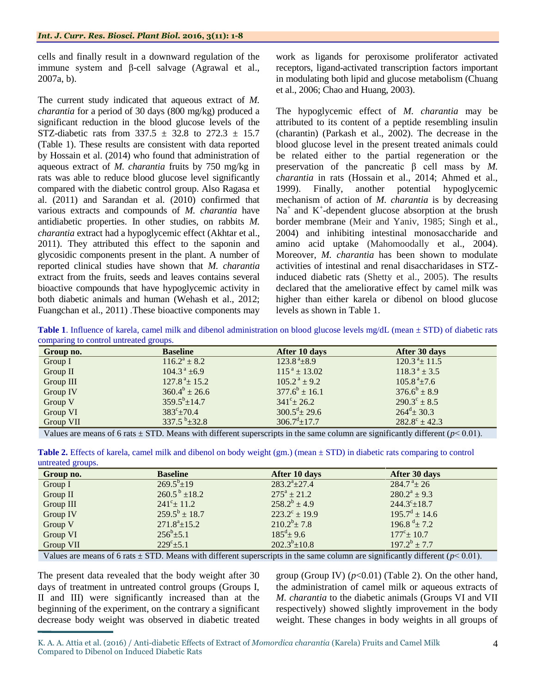cells and finally result in a downward regulation of the immune system and β-cell salvage (Agrawal et al., 2007a, b).

The current study indicated that aqueous extract of *M. charantia* for a period of 30 days (800 mg/kg) produced a significant reduction in the blood glucose levels of the STZ-diabetic rats from  $337.5 \pm 32.8$  to  $272.3 \pm 15.7$ (Table 1). These results are consistent with data reported by Hossain et al. (2014) who found that administration of aqueous extract of *M. charantia* fruits by 750 mg/kg in rats was able to reduce blood glucose level significantly compared with the diabetic control group. Also Ragasa et al. (2011) and Sarandan et al. (2010) confirmed that various extracts and compounds of *M. charantia* have antidiabetic properties. In other studies, on rabbits *M. charantia* extract had a hypoglycemic effect (Akhtar et al., 2011). They attributed this effect to the saponin and glycosidic components present in the plant. A number of reported clinical studies have shown that *M. charantia* extract from the fruits, seeds and leaves contains several bioactive compounds that have hypoglycemic activity in both diabetic animals and human (Wehash et al., 2012; Fuangchan et al., 2011) .These bioactive components may

work as ligands for peroxisome proliferator activated receptors, ligand-activated transcription factors important in modulating both lipid and glucose metabolism (Chuang et al., 2006; Chao and Huang, 2003).

The hypoglycemic effect of *M. charantia* may be attributed to its content of a peptide resembling insulin (charantin) (Parkash et al., 2002). The decrease in the blood glucose level in the present treated animals could be related either to the partial regeneration or the preservation of the pancreatic β cell mass by *M. charantia* in rats (Hossain et al., 2014; Ahmed et al., 1999). Finally, another potential hypoglycemic mechanism of action of *M. charantia* is by decreasing  $Na<sup>+</sup>$  and  $K<sup>+</sup>$ -dependent glucose absorption at the brush border membrane (Meir and Yaniv, 1985; Singh et al., 2004) and inhibiting intestinal monosaccharide and amino acid uptake (Mahomoodally et al., 2004). Moreover, *M. charantia* has been shown to modulate activities of intestinal and renal disaccharidases in STZinduced diabetic rats (Shetty et al., 2005). The results declared that the ameliorative effect by camel milk was higher than either karela or dibenol on blood glucose levels as shown in Table 1.

**Table 1**. Influence of karela, camel milk and dibenol administration on blood glucose levels mg/dL (mean ± STD) of diabetic rats comparing to control untreated groups.

| Group no. | <b>Baseline</b>             | After 10 days               | After 30 days               |
|-----------|-----------------------------|-----------------------------|-----------------------------|
| Group I   | $116.2^a \pm 8.2$           | $123.8^{\text{a}}\pm8.9$    | $120.3^{\text{a}} \pm 11.5$ |
| Group II  | $104.3^{\text{a}}$ ±6.9     | $115^{\text{a}} \pm 13.02$  | $118.3^{\text{a}} \pm 3.5$  |
| Group III | $127.8^{\text{a}} \pm 15.2$ | $105.2^{\text{a}} \pm 9.2$  | $105.8^{\text{a}} \pm 7.6$  |
| Group IV  | $360.4^b \pm 26.6$          | $377.6^b \pm 16.1$          | $376.6^b \pm 8.9$           |
| Group V   | $359.5^b \pm 14.7$          | $341^{\circ}$ ± 26.2        | $290.3^{\circ} \pm 8.5$     |
| Group VI  | $383^{\circ} \pm 70.4$      | $300.5^{\text{d}} \pm 29.6$ | $264^{\mathrm{d}} \pm 30.3$ |
| Group VII | $337.5^{b} \pm 32.8$        | $306.7^{\rm d} \pm 17.7$    | $282.8^{\circ} \pm 42.3$    |
|           |                             |                             |                             |

Values are means of 6 rats  $\pm$  STD. Means with different superscripts in the same column are significantly different ( $p$ < 0.01).

|                   |  |  | Table 2. Effects of karela, camel milk and dibenol on body weight (gm.) (mean ± STD) in diabetic rats comparing to control |  |
|-------------------|--|--|----------------------------------------------------------------------------------------------------------------------------|--|
| untreated groups. |  |  |                                                                                                                            |  |

| Group no. | <b>Baseline</b>            | After 10 days            | After 30 days             |
|-----------|----------------------------|--------------------------|---------------------------|
| Group I   | $269.5^b \pm 19$           | $283.2^a \pm 27.4$       | $284.7^{\text{a}} \pm 26$ |
| Group II  | $260.5^{\mathrm{b}}$ ±18.2 | $275^{\rm a} \pm 21.2$   | $280.2^a \pm 9.3$         |
| Group III | $241^{\circ}$ ± 11.2       | $258.2^b \pm 4.9$        | $244.3^{\circ}$ ± 18.7    |
| Group IV  | $259.5^b \pm 18.7$         | $223.2^{\circ} \pm 19.9$ | $195.7^{\rm d} \pm 14.6$  |
| Group V   | $271.8^a \pm 15.2$         | $210.2^b \pm 7.8$        | 196.8 $\pm$ 7.2           |
| Group VI  | $256^b \pm 5.1$            | $185^{\rm d} \pm 9.6$    | $177^{\circ}$ ± 10.7      |
| Group VII | $229^{\circ}$ ±5.1         | $202.3^{b} \pm 10.8$     | $197.2^b \pm 7.7$         |

Values are means of 6 rats  $\pm$  STD. Means with different superscripts in the same column are significantly different ( $p$ < 0.01).

The present data revealed that the body weight after 30 days of treatment in untreated control groups (Groups I, II and III) were significantly increased than at the beginning of the experiment, on the contrary a significant decrease body weight was observed in diabetic treated

group (Group IV)  $(p<0.01)$  (Table 2). On the other hand, the administration of camel milk or aqueous extracts of *M. charantia* to the diabetic animals (Groups VI and VII respectively) showed slightly improvement in the body weight. These changes in body weights in all groups of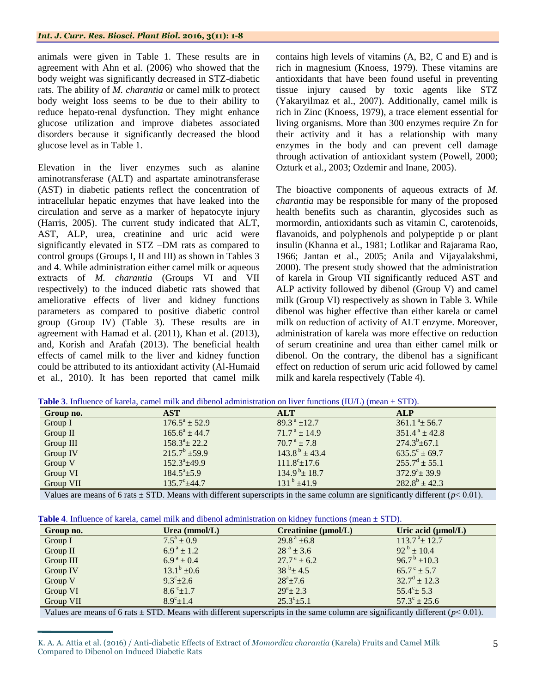animals were given in Table 1. These results are in agreement with Ahn et al. (2006) who showed that the body weight was significantly decreased in STZ-diabetic rats. The ability of *M. charantia* or camel milk to protect body weight loss seems to be due to their ability to reduce hepato-renal dysfunction. They might enhance glucose utilization and improve diabetes associated disorders because it significantly decreased the blood glucose level as in Table 1.

Elevation in the liver enzymes such as alanine aminotransferase (ALT) and aspartate aminotransferase (AST) in diabetic patients reflect the concentration of intracellular hepatic enzymes that have leaked into the circulation and serve as a marker of hepatocyte injury (Harris, 2005). The current study indicated that ALT, AST, ALP, urea, creatinine and uric acid were significantly elevated in STZ –DM rats as compared to control groups (Groups I, II and III) as shown in Tables 3 and 4. While administration either camel milk or aqueous extracts of *M. charantia* (Groups VI and VII respectively) to the induced diabetic rats showed that ameliorative effects of liver and kidney functions parameters as compared to positive diabetic control group (Group IV) (Table 3). These results are in agreement with Hamad et al. (2011), Khan et al. (2013), and, Korish and Arafah (2013). The beneficial health effects of camel milk to the liver and kidney function could be attributed to its antioxidant activity (Al-Humaid et al*.,* 2010). It has been reported that camel milk

contains high levels of vitamins (A, B2, C and E) and is rich in magnesium (Knoess, 1979). These vitamins are antioxidants that have been found useful in preventing tissue injury caused by toxic agents like STZ (Yakaryilmaz et al., 2007). Additionally, camel milk is rich in Zinc (Knoess, 1979), a trace element essential for living organisms. More than 300 enzymes require Zn for their activity and it has a relationship with many enzymes in the body and can prevent cell damage through activation of antioxidant system (Powell, 2000; Ozturk et al*.,* 2003; Ozdemir and Inane, 2005).

The bioactive components of aqueous extracts of *M. charantia* may be responsible for many of the proposed health benefits such as charantin, glycosides such as mormordin, antioxidants such as vitamin C, carotenoids, flavanoids, and polyphenols and polypeptide p or plant insulin (Khanna et al., 1981; Lotlikar and Rajarama Rao, 1966; Jantan et al., 2005; Anila and Vijayalakshmi, 2000). The present study showed that the administration of karela in Group VII significantly reduced AST and ALP activity followed by dibenol (Group V) and camel milk (Group VI) respectively as shown in Table 3. While dibenol was higher effective than either karela or camel milk on reduction of activity of ALT enzyme. Moreover, administration of karela was more effective on reduction of serum creatinine and urea than either camel milk or dibenol. On the contrary, the dibenol has a significant effect on reduction of serum uric acid followed by camel milk and karela respectively (Table 4).

| Group no.  | AST                    | <b>ALT</b>                    | <b>ALP</b>                  |
|------------|------------------------|-------------------------------|-----------------------------|
| Group $I$  | $176.5^a \pm 52.9$     | $89.3^{\text{a}}$ ±12.7       | $361.1^{\text{a}} \pm 56.7$ |
| Group $II$ | $165.6^a \pm 44.7$     | $71.7^{\text{a}} \pm 14.9$    | $351.4^{\text{a}}$ ± 42.8   |
| Group III  | $158.3^{\circ}$ ± 22.2 | $70.7^{\text{a}} \pm 7.8$     | $274.3^b \pm 67.1$          |
| Group IV   | $215.7^b \pm 59.9$     | $143.8^{\mathrm{b}} \pm 43.4$ | $635.5^{\circ} \pm 69.7$    |
| Group V    | $152.3^{\circ}+49.9$   | $111.8^{\circ}$ ± 17.6        | $255.7^d \pm 55.1$          |
| Group VI   | $184.5^a \pm 5.9$      | $134.9^{b} \pm 18.7$          | $372.9^{\circ}$ + 39.9      |
| Group VII  | $135.7^{\circ}$ ±44.7  | $131^{b}$ ±41.9               | $282.8^b \pm 42.3$          |

**Table 3.** Influence of karela, camel milk and dibenol administration on liver functions (IU/L) (mean + STD).

Values are means of 6 rats  $\pm$  STD. Means with different superscripts in the same column are significantly different ( $p$ < 0.01).

| <b>Table 4.</b> Influence of karela, camel milk and dibenol administration on kidney functions (mean $\pm$ STD). |  |  |
|------------------------------------------------------------------------------------------------------------------|--|--|
|------------------------------------------------------------------------------------------------------------------|--|--|

| Group no. | Urea $(mmol/L)$          | $C$ reatinine ( $\mu$ mol/L) | Uric acid $(\mu mol/L)$     |  |
|-----------|--------------------------|------------------------------|-----------------------------|--|
| Group $I$ | $7.5^a \pm 0.9$          | $29.8^{\text{a}}$ ±6.8       | $113.7^{\text{a}} \pm 12.7$ |  |
| Group II  | $6.9^{\text{a}} \pm 1.2$ | $28^{\text{a}} \pm 3.6$      | $92^{\mathrm{b}} \pm 10.4$  |  |
| Group III | $6.9^{\text{a}} \pm 0.4$ | $27.7^{\text{a}} \pm 6.2$    | $96.7^{\mathrm{b}}$ ±10.3   |  |
| Group IV  | $13.1^b \pm 0.6$         | $38^{b} \pm 4.5$             | $65.7^{\circ} \pm 5.7$      |  |
| Group V   | $9.3^{\circ}$ ± 2.6      | $28^a + 7.6$                 | $32.7^d \pm 12.3$           |  |
| Group VI  | $8.6^{\circ}$ ±1.7       | $29^a \pm 2.3$               | $55.4^{\circ}$ ± 5.3        |  |
| Group VII | $8.9^{\circ}$ ±1.4       | $25.3^{\circ}$ ±5.1          | $57.3^{\circ} \pm 25.6$     |  |

Values are means of 6 rats  $\pm$  STD. Means with different superscripts in the same column are significantly different ( $p$ < 0.01).

K. A. A. Attia et al. (2016) / Anti-diabetic Effects of Extract of *Momordica charantia* (Karela) Fruits and Camel Milk Compared to Dibenol on Induced Diabetic Rats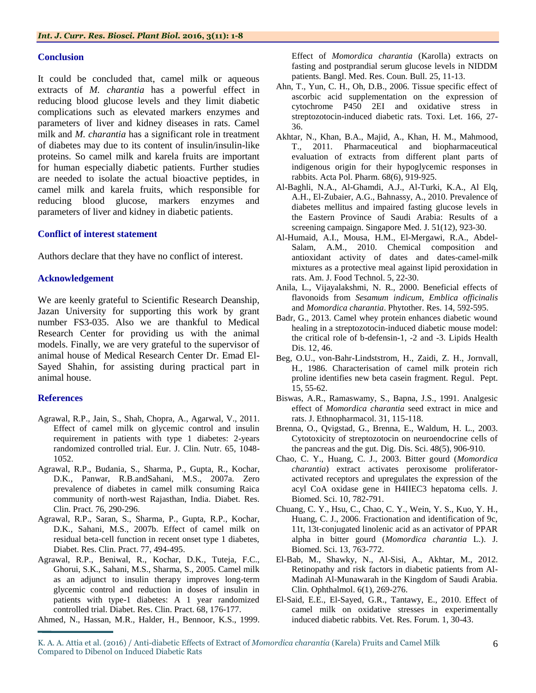## **Conclusion**

It could be concluded that, camel milk or aqueous extracts of *M. charantia* has a powerful effect in reducing blood glucose levels and they limit diabetic complications such as elevated markers enzymes and parameters of liver and kidney diseases in rats. Camel milk and *M. charantia* has a significant role in treatment of diabetes may due to its content of insulin/insulin-like proteins. So camel milk and karela fruits are important for human especially diabetic patients. Further studies are needed to isolate the actual bioactive peptides, in camel milk and karela fruits, which responsible for reducing blood glucose, markers enzymes and parameters of liver and kidney in diabetic patients.

#### **Conflict of interest statement**

Authors declare that they have no conflict of interest.

## **Acknowledgement**

We are keenly grateful to Scientific Research Deanship, Jazan University for supporting this work by grant number FS3-035. Also we are thankful to Medical Research Center for providing us with the animal models. Finally, we are very grateful to the supervisor of animal house of Medical Research Center Dr. Emad El-Sayed Shahin, for assisting during practical part in animal house.

## **References**

- Agrawal, R.P., Jain, S., Shah, Chopra, A., Agarwal, V., 2011. Effect of camel milk on glycemic control and insulin requirement in patients with type 1 diabetes: 2-years randomized controlled trial. Eur. J. Clin. Nutr. 65, 1048- 1052.
- Agrawal, R.P., Budania, S., Sharma, P., Gupta, R., Kochar, D.K., Panwar, R.B.andSahani, M.S., 2007a. Zero prevalence of diabetes in camel milk consuming Raica community of north-west Rajasthan, India. Diabet. Res. Clin. Pract. 76, 290-296.
- Agrawal, R.P., Saran, S., Sharma, P., Gupta, R.P., Kochar, D.K., Sahani, M.S., 2007b. Effect of camel milk on residual beta-cell function in recent onset type 1 diabetes, Diabet. Res. Clin. Pract. 77, 494-495.
- Agrawal, R.P., Beniwal, R., Kochar, D.K., Tuteja, F.C., Ghorui, S.K., Sahani, M.S., Sharma, S., 2005. Camel milk as an adjunct to insulin therapy improves long-term glycemic control and reduction in doses of insulin in patients with type-1 diabetes: A 1 year randomized controlled trial. Diabet. Res. Clin. Pract. 68, 176-177.

Ahmed, N., Hassan, M.R., Halder, H., Bennoor, K.S., 1999.

Effect of *Momordica charantia* (Karolla) extracts on fasting and postprandial serum glucose levels in NIDDM patients. Bangl. Med. Res. Coun. Bull. 25, 11-13.

- Ahn, T., Yun, C. H., Oh, D.B., 2006. Tissue specific effect of ascorbic acid supplementation on the expression of cytochrome P450 2EI and oxidative stress in streptozotocin-induced diabetic rats. Toxi. Let. 166, 27- 36.
- Akhtar, N., Khan, B.A., Majid, A., Khan, H. M., Mahmood, T., 2011. Pharmaceutical and biopharmaceutical evaluation of extracts from different plant parts of indigenous origin for their hypoglycemic responses in rabbits. Acta Pol. Pharm. 68(6), 919-925.
- Al-Baghli, N.A., Al-Ghamdi, A.J., Al-Turki, K.A., Al Elq, A.H., El-Zubaier, A.G., Bahnassy, A., 2010. Prevalence of diabetes mellitus and impaired fasting glucose levels in the Eastern Province of Saudi Arabia: Results of a screening campaign. Singapore Med. J. 51(12), 923-30.
- Al-Humaid, A.I., Mousa, H.M., El-Mergawi, R.A., Abdel-Salam, A.M., 2010. Chemical composition and antioxidant activity of dates and dates-camel-milk mixtures as a protective meal against lipid peroxidation in rats. Am. J. Food Technol. 5, 22-30.
- Anila, L., Vijayalakshmi, N. R., 2000. Beneficial effects of flavonoids from *Sesamum indicum*, *Emblica officinalis* and *Momordica charantia*. Phytother. Res. 14, 592-595.
- Badr, G., 2013. Camel whey protein enhances diabetic wound healing in a streptozotocin-induced diabetic mouse model: the critical role of b-defensin-1, -2 and -3. Lipids Health Dis. 12, 46.
- Beg, O.U., von-Bahr-Lindststrom, H., Zaidi, Z. H., Jornvall, H., 1986. Characterisation of camel milk protein rich proline identifies new beta casein fragment. Regul. Pept. 15, 55-62.
- Biswas, A.R., Ramaswamy, S., Bapna, J.S., 1991. Analgesic effect of *Momordica charantia* seed extract in mice and rats. J. Ethnopharmacol. 31, 115-118.
- Brenna, O., Qvigstad, G., Brenna, E., Waldum, H. L., 2003. Cytotoxicity of streptozotocin on neuroendocrine cells of the pancreas and the gut. Dig. Dis. Sci. 48(5), 906-910.
- Chao, C. Y., Huang, C. J., 2003. Bitter gourd (*Momordica charantia*) extract activates peroxisome proliferatoractivated receptors and upregulates the expression of the acyl CoA oxidase gene in H4IIEC3 hepatoma cells. J. Biomed. Sci. 10, 782-791.
- Chuang, C. Y., Hsu, C., Chao, C. Y., Wein, Y. S., Kuo, Y. H., Huang, C. J., 2006. Fractionation and identification of 9c, 11t, 13t-conjugated linolenic acid as an activator of PPAR alpha in bitter gourd (*Momordica charantia* L.). J. Biomed. Sci. 13, 763-772.
- El-Bab, M., Shawky, N., Al-Sisi, A., Akhtar, M., 2012. Retinopathy and risk factors in diabetic patients from Al-Madinah Al-Munawarah in the Kingdom of Saudi Arabia. Clin. Ophthalmol. 6(1), 269-276.
- El-Said, E.E., El-Sayed, G.R., Tantawy, E., 2010. Effect of camel milk on oxidative stresses in experimentally induced diabetic rabbits. Vet. Res. Forum. 1, 30-43.

K. A. A. Attia et al. (2016) / Anti-diabetic Effects of Extract of *Momordica charantia* (Karela) Fruits and Camel Milk Compared to Dibenol on Induced Diabetic Rats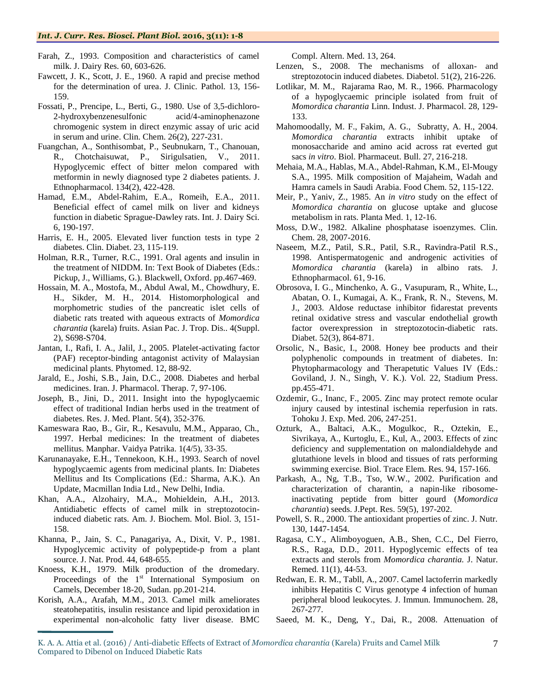- Farah, Z., 1993. Composition and characteristics of camel milk. J. Dairy Res. 60, 603-626.
- Fawcett, J. K., Scott, J. E., 1960. A rapid and precise method for the determination of urea. J. Clinic. Pathol. 13, 156- 159.
- Fossati, P., Prencipe, L., Berti, G., 1980. Use of 3,5-dichloro-2-hydroxybenzenesulfonic acid/4-aminophenazone chromogenic system in direct enzymic assay of uric acid in serum and urine. Clin. Chem. 26(2), 227-231.
- Fuangchan, A., Sonthisombat, P., Seubnukarn, T., Chanouan, R., Chotchaisuwat, P., Sirigulsatien, V., 2011. Hypoglycemic effect of bitter melon compared with metformin in newly diagnosed type 2 diabetes patients. J. Ethnopharmacol. 134(2), 422-428.
- Hamad, E.M., Abdel-Rahim, E.A., Romeih, E.A., 2011. Beneficial effect of camel milk on liver and kidneys function in diabetic Sprague-Dawley rats. Int. J. Dairy Sci. 6, 190-197.
- Harris, E. H., 2005. Elevated liver function tests in type 2 diabetes. Clin. Diabet. 23, 115-119.
- Holman, R.R., Turner, R.C., 1991. Oral agents and insulin in the treatment of NIDDM. In: Text Book of Diabetes (Eds.: Pickup, J., Williams, G.). Blackwell, Oxford. pp.467-469.
- Hossain, M. A., Mostofa, M., Abdul Awal, M., Chowdhury, E. H., Sikder, M. H., 2014. Histomorphological and morphometric studies of the pancreatic islet cells of diabetic rats treated with aqueous extracts of *Momordica charantia* (karela) fruits. Asian Pac. J. Trop. Dis.. 4(Suppl. 2), S698-S704.
- Jantan, I., Rafi, I. A., Jalil, J., 2005. Platelet-activating factor (PAF) receptor-binding antagonist activity of Malaysian medicinal plants. Phytomed. 12, 88-92.
- Jarald, E., Joshi, S.B., Jain, D.C., 2008. Diabetes and herbal medicines. Iran. J. Pharmacol. Therap. 7, 97-106.
- Joseph, B., Jini, D., 2011. Insight into the hypoglycaemic effect of traditional Indian herbs used in the treatment of diabetes. Res. J. Med. Plant. 5(4), 352-376.
- Kameswara Rao, B., Gir, R., Kesavulu, M.M., Apparao, Ch., 1997. Herbal medicines: In the treatment of diabetes mellitus. Manphar. Vaidya Patrika. 1(4/5), 33-35.
- Karunanayake, E.H., Tennekoon, K.H., 1993. Search of novel hypoglycaemic agents from medicinal plants. In: Diabetes Mellitus and Its Complications (Ed.: Sharma, A.K.). An Update, Macmillan India Ltd., New Delhi, India.
- Khan, A.A., Alzohairy, M.A., Mohieldein, A.H., 2013. Antidiabetic effects of camel milk in streptozotocininduced diabetic rats. Am. J. Biochem. Mol. Biol. 3, 151- 158.
- Khanna, P., Jain, S. C., Panagariya, A., Dixit, V. P., 1981. Hypoglycemic activity of polypeptide-p from a plant source. J. Nat. Prod. 44, 648-655.
- Knoess, K.H., 1979. Milk production of the dromedary. Proceedings of the  $1<sup>st</sup>$  International Symposium on Camels, December 18-20, Sudan. pp.201-214.
- Korish, A.A., Arafah, M.M., 2013. Camel milk ameliorates steatohepatitis, insulin resistance and lipid peroxidation in experimental non-alcoholic fatty liver disease. BMC

Compl. Altern. Med. 13, 264.

- Lenzen, S., 2008. The mechanisms of alloxan- and streptozotocin induced diabetes. Diabetol. 51(2), 216-226.
- Lotlikar, M. M., Rajarama Rao, M. R., 1966. Pharmacology of a hypoglycaemic principle isolated from fruit of *Momordica charantia* Linn. Indust. J. Pharmacol. 28, 129- 133.
- Mahomoodally, M. F., Fakim, A. G., Subratty, A. H., 2004. *Momordica charantia* extracts inhibit uptake of monosaccharide and amino acid across rat everted gut sacs *in vitro*. Biol. Pharmaceut. Bull. 27, 216-218.
- Mehaia, M.A., Hablas, M.A., Abdel-Rahman, K.M., El-Mougy S.A., 1995. Milk composition of Majaheim, Wadah and Hamra camels in Saudi Arabia. Food Chem. 52, 115-122.
- Meir, P., Yaniv, Z., 1985. An *in vitro* study on the effect of *Momordica charantia* on glucose uptake and glucose metabolism in rats. Planta Med. 1, 12-16.
- Moss, D.W., 1982. Alkaline phosphatase isoenzymes. Clin. Chem. 28, 2007-2016.
- Naseem, M.Z., Patil, S.R., Patil, S.R., Ravindra-Patil R.S., 1998. Antispermatogenic and androgenic activities of *Momordica charantia* (karela) in albino rats. J. Ethnopharmacol. 61, 9-16.
- Obrosova, I. G., Minchenko, A. G., Vasupuram, R., White, L., Abatan, O. I., Kumagai, A. K., Frank, R. N., Stevens, M. J., 2003. Aldose reductase inhibitor fidarestat prevents retinal oxidative stress and vascular endothelial growth factor overexpression in streptozotocin-diabetic rats. Diabet. 52(3), 864-871.
- Orsolic, N., Basic, I., 2008. Honey bee products and their polyphenolic compounds in treatment of diabetes. In: Phytopharmacology and Therapetutic Values IV (Eds.: Goviland, J. N., Singh, V. K.). Vol. 22, Stadium Press. pp.455-471.
- Ozdemir, G., Inanc, F., 2005. Zinc may protect remote ocular injury caused by intestinal ischemia reperfusion in rats. Tohoku J. Exp. Med. 206, 247-251.
- Ozturk, A., Baltaci, A.K., Mogulkoc, R., Oztekin, E., Sivrikaya, A., Kurtoglu, E., Kul, A., 2003. Effects of zinc deficiency and supplementation on malondialdehyde and glutathione levels in blood and tissues of rats performing swimming exercise. Biol. Trace Elem. Res. 94, 157-166.
- Parkash, A., Ng, T.B., Tso, W.W., 2002. Purification and characterization of charantin, a napin-like ribosomeinactivating peptide from bitter gourd (*Momordica charantia*) seeds. J.Pept. Res. 59(5), 197-202.
- Powell, S. R., 2000. The antioxidant properties of zinc. J. Nutr. 130, 1447-1454.
- Ragasa, C.Y., Alimboyoguen, A.B., Shen, C.C., Del Fierro, R.S., Raga, D.D., 2011. Hypoglycemic effects of tea extracts and sterols from *Momordica charantia.* J. Natur. Remed. 11(1), 44-53.
- Redwan, E. R. M., Tabll, A., 2007. Camel lactoferrin markedly inhibits Hepatitis C Virus genotype 4 infection of human peripheral blood leukocytes. J. Immun. Immunochem. 28, 267-277.
- Saeed, M. K., Deng, Y., Dai, R., 2008. Attenuation of